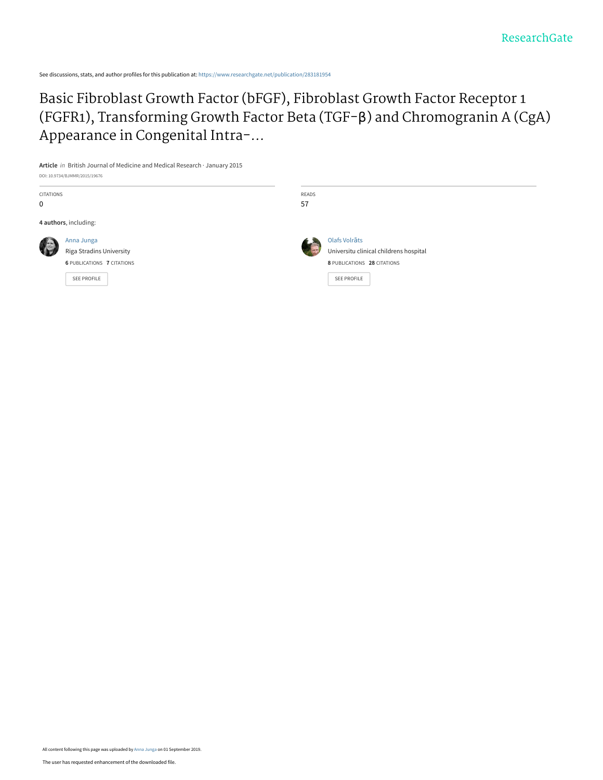See discussions, stats, and author profiles for this publication at: [https://www.researchgate.net/publication/283181954](https://www.researchgate.net/publication/283181954_Basic_Fibroblast_Growth_Factor_bFGF_Fibroblast_Growth_Factor_Receptor_1_FGFR1_Transforming_Growth_Factor_Beta_TGF-b_and_Chromogranin_A_CgA_Appearance_in_Congenital_Intra-abdominal_Adhesions_in_Childre?enrichId=rgreq-5d60e0658fd7cb338fea571d5abc398b-XXX&enrichSource=Y292ZXJQYWdlOzI4MzE4MTk1NDtBUzo3OTgyODYzMDY4NjkyNDhAMTU2NzMzNzY5NTUwMQ%3D%3D&el=1_x_2&_esc=publicationCoverPdf)

[Basic Fibroblast Growth Factor \(bFGF\), Fibroblast Growth Factor Receptor 1](https://www.researchgate.net/publication/283181954_Basic_Fibroblast_Growth_Factor_bFGF_Fibroblast_Growth_Factor_Receptor_1_FGFR1_Transforming_Growth_Factor_Beta_TGF-b_and_Chromogranin_A_CgA_Appearance_in_Congenital_Intra-abdominal_Adhesions_in_Childre?enrichId=rgreq-5d60e0658fd7cb338fea571d5abc398b-XXX&enrichSource=Y292ZXJQYWdlOzI4MzE4MTk1NDtBUzo3OTgyODYzMDY4NjkyNDhAMTU2NzMzNzY5NTUwMQ%3D%3D&el=1_x_3&_esc=publicationCoverPdf) (FGFR1), Transforming Growth Factor Beta (TGF-β) and Chromogranin A (CgA) Appearance in Congenital Intra-...

**Article** in British Journal of Medicine and Medical Research · January 2015 DOI: 10.9734/BJMMR/2015/19676

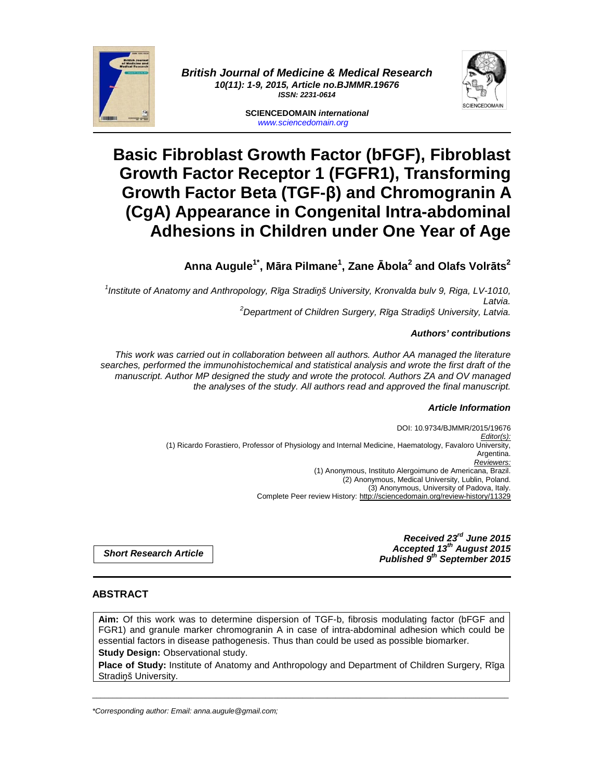

**British Journal of Medicine & Medical Research 10(11): 1-9, 2015, Article no.BJMMR.19676 ISSN: 2231-0614** 

> **SCIENCEDOMAIN international**  www.sciencedomain.org

# **Basic Fibroblast Growth Factor (bFGF), Fibroblast Growth Factor Receptor 1 (FGFR1), Transforming Growth Factor Beta (TGF-β) and Chromogranin A (CgA) Appearance in Congenital Intra-abdominal Adhesions in Children under One Year of Age**

## **Anna Augule1\*, Māra Pilmane<sup>1</sup> , Zane Ābola<sup>2</sup> and Olafs Volrāts<sup>2</sup>**

1 Institute of Anatomy and Anthropology, R*ī*ga Stradi*ņ*š University, Kronvalda bulv 9, Riga, LV-1010, Latvia.

<sup>2</sup>Department of Children Surgery, R*ī*ga Stradi*ņ*š University, Latvia.

## **Authors' contributions**

This work was carried out in collaboration between all authors. Author AA managed the literature searches, performed the immunohistochemical and statistical analysis and wrote the first draft of the manuscript. Author MP designed the study and wrote the protocol. Authors ZA and OV managed the analyses of the study. All authors read and approved the final manuscript.

## **Article Information**

DOI: 10.9734/BJMMR/2015/19676 Editor(s): (1) Ricardo Forastiero, Professor of Physiology and Internal Medicine, Haematology, Favaloro University, Argentina. Reviewers: (1) Anonymous, Instituto Alergoimuno de Americana, Brazil. (2) Anonymous, Medical University, Lublin, Poland. (3) Anonymous, University of Padova, Italy. Complete Peer review History: http://sciencedomain.org/review-history/11329

> **Received 23rd June 2015 Accepted 13th August 2015 Published 9th September 2015**

**Short Research Article**

## **ABSTRACT**

**Aim:** Of this work was to determine dispersion of TGF-b, fibrosis modulating factor (bFGF and FGR1) and granule marker chromogranin A in case of intra-abdominal adhesion which could be essential factors in disease pathogenesis. Thus than could be used as possible biomarker. **Study Design: Observational study.** 

**Place of Study:** Institute of Anatomy and Anthropology and Department of Children Surgery, Rīga Stradiņš University.

\_\_\_\_\_\_\_\_\_\_\_\_\_\_\_\_\_\_\_\_\_\_\_\_\_\_\_\_\_\_\_\_\_\_\_\_\_\_\_\_\_\_\_\_\_\_\_\_\_\_\_\_\_\_\_\_\_\_\_\_\_\_\_\_\_\_\_\_\_\_\_\_\_\_\_\_\_\_\_\_\_\_\_\_\_\_\_\_\_\_\_\_\_\_\_\_\_\_\_\_\_

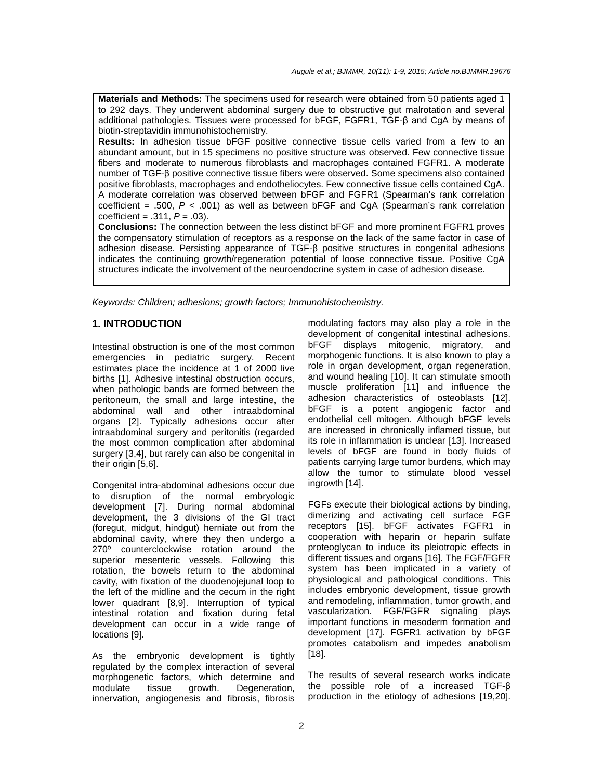**Materials and Methods:** The specimens used for research were obtained from 50 patients aged 1 to 292 days. They underwent abdominal surgery due to obstructive gut malrotation and several additional pathologies. Tissues were processed for bFGF, FGFR1, TGF-β and CgA by means of biotin-streptavidin immunohistochemistry.

**Results:** In adhesion tissue bFGF positive connective tissue cells varied from a few to an abundant amount, but in 15 specimens no positive structure was observed. Few connective tissue fibers and moderate to numerous fibroblasts and macrophages contained FGFR1. A moderate number of TGF-β positive connective tissue fibers were observed. Some specimens also contained positive fibroblasts, macrophages and endotheliocytes. Few connective tissue cells contained CgA. A moderate correlation was observed between bFGF and FGFR1 (Spearman's rank correlation coefficient = .500,  $P < .001$ ) as well as between bFGF and CgA (Spearman's rank correlation coefficient =  $.311, P = .03$ ).

**Conclusions:** The connection between the less distinct bFGF and more prominent FGFR1 proves the compensatory stimulation of receptors as a response on the lack of the same factor in case of adhesion disease. Persisting appearance of TGF-β positive structures in congenital adhesions indicates the continuing growth/regeneration potential of loose connective tissue. Positive CgA structures indicate the involvement of the neuroendocrine system in case of adhesion disease.

Keywords: Children; adhesions; growth factors; Immunohistochemistry.

#### **1. INTRODUCTION**

Intestinal obstruction is one of the most common emergencies in pediatric surgery. Recent estimates place the incidence at 1 of 2000 live births [1]. Adhesive intestinal obstruction occurs, when pathologic bands are formed between the peritoneum, the small and large intestine, the abdominal wall and other intraabdominal organs [2]. Typically adhesions occur after intraabdominal surgery and peritonitis (regarded the most common complication after abdominal surgery [3,4], but rarely can also be congenital in their origin [5,6].

Congenital intra-abdominal adhesions occur due to disruption of the normal embryologic development [7]. During normal abdominal development, the 3 divisions of the GI tract (foregut, midgut, hindgut) herniate out from the abdominal cavity, where they then undergo a 270º counterclockwise rotation around the superior mesenteric vessels. Following this rotation, the bowels return to the abdominal cavity, with fixation of the duodenojejunal loop to the left of the midline and the cecum in the right lower quadrant [8,9]. Interruption of typical intestinal rotation and fixation during fetal development can occur in a wide range of locations [9].

As the embryonic development is tightly regulated by the complex interaction of several morphogenetic factors, which determine and modulate tissue growth. Degeneration, innervation, angiogenesis and fibrosis, fibrosis modulating factors may also play a role in the development of congenital intestinal adhesions. bFGF displays mitogenic, migratory, and morphogenic functions. It is also known to play a role in organ development, organ regeneration, and wound healing [10]. It can stimulate smooth muscle proliferation [11] and influence the adhesion characteristics of osteoblasts [12]. bFGF is a potent angiogenic factor and endothelial cell mitogen. Although bFGF levels are increased in chronically inflamed tissue, but its role in inflammation is unclear [13]. Increased levels of bFGF are found in body fluids of patients carrying large tumor burdens, which may allow the tumor to stimulate blood vessel ingrowth [14].

FGFs execute their biological actions by binding, dimerizing and activating cell surface FGF receptors [15]. bFGF activates FGFR1 in cooperation with heparin or heparin sulfate proteoglycan to induce its pleiotropic effects in different tissues and organs [16]. The FGF/FGFR system has been implicated in a variety of physiological and pathological conditions. This includes embryonic development, tissue growth and remodeling, inflammation, tumor growth, and vascularization. FGF/FGFR signaling plays important functions in mesoderm formation and development [17]. FGFR1 activation by bFGF promotes catabolism and impedes anabolism [18].

The results of several research works indicate the possible role of a increased TGF-β production in the etiology of adhesions [19,20].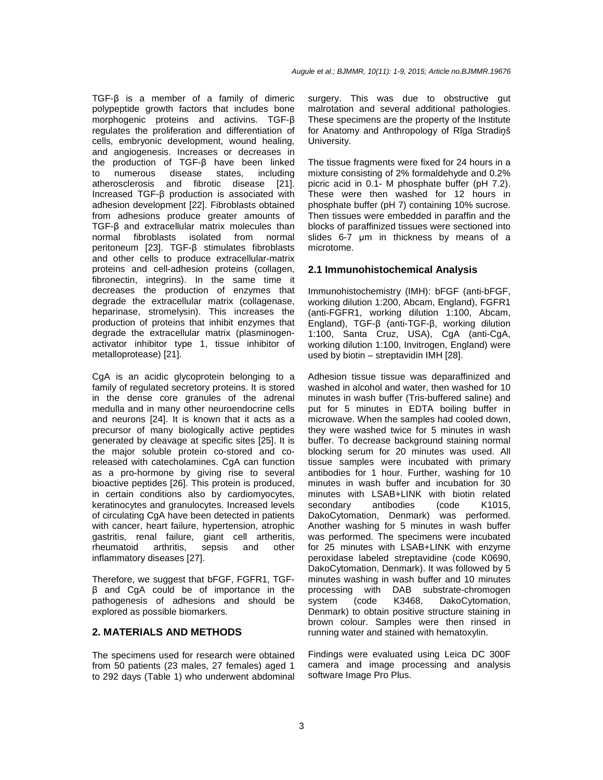TGF-β is a member of a family of dimeric polypeptide growth factors that includes bone morphogenic proteins and activins. TGF-β regulates the proliferation and differentiation of cells, embryonic development, wound healing, and angiogenesis. Increases or decreases in the production of TGF-β have been linked to numerous disease states, including atherosclerosis and fibrotic disease [21]. Increased TGF-β production is associated with adhesion development [22]. Fibroblasts obtained from adhesions produce greater amounts of TGF-β and extracellular matrix molecules than normal fibroblasts isolated from normal peritoneum [23]. TGF-β stimulates fibroblasts and other cells to produce extracellular-matrix proteins and cell-adhesion proteins (collagen, fibronectin, integrins). In the same time it decreases the production of enzymes that degrade the extracellular matrix (collagenase, heparinase, stromelysin). This increases the production of proteins that inhibit enzymes that degrade the extracellular matrix (plasminogenactivator inhibitor type 1, tissue inhibitor of metalloprotease) [21].

CgA is an acidic glycoprotein belonging to a family of regulated secretory proteins. It is stored in the dense core granules of the adrenal medulla and in many other neuroendocrine cells and neurons [24]. It is known that it acts as a precursor of many biologically active peptides generated by cleavage at specific sites [25]. It is the major soluble protein co-stored and coreleased with catecholamines. CgA can function as a pro-hormone by giving rise to several bioactive peptides [26]. This protein is produced, in certain conditions also by cardiomyocytes, keratinocytes and granulocytes. Increased levels of circulating CgA have been detected in patients with cancer, heart failure, hypertension, atrophic gastritis, renal failure, giant cell artheritis,<br>rheumatoid arthritis, sepsis and other rheumatoid arthritis, sepsis and inflammatory diseases [27].

Therefore, we suggest that bFGF, FGFR1, TGFβ and CgA could be of importance in the pathogenesis of adhesions and should be explored as possible biomarkers.

## **2. MATERIALS AND METHODS**

The specimens used for research were obtained from 50 patients (23 males, 27 females) aged 1 to 292 days (Table 1) who underwent abdominal surgery. This was due to obstructive gut malrotation and several additional pathologies. These specimens are the property of the Institute for Anatomy and Anthropology of Rīga Stradiņš University.

The tissue fragments were fixed for 24 hours in a mixture consisting of 2% formaldehyde and 0.2% picric acid in 0.1- M phosphate buffer (pH 7.2). These were then washed for 12 hours in phosphate buffer (pH 7) containing 10% sucrose. Then tissues were embedded in paraffin and the blocks of paraffinized tissues were sectioned into slides 6-7 µm in thickness by means of a microtome.

## **2.1 Immunohistochemical Analysis**

Immunohistochemistry (IMH): bFGF (anti-bFGF, working dilution 1:200, Abcam, England), FGFR1 (anti-FGFR1, working dilution 1:100, Abcam, England), TGF-β (anti-TGF-β, working dilution 1:100, Santa Cruz, USA), CgA (anti-CgA, working dilution 1:100, Invitrogen, England) were used by biotin – streptavidin IMH [28].

Adhesion tissue tissue was deparaffinized and washed in alcohol and water, then washed for 10 minutes in wash buffer (Tris-buffered saline) and put for 5 minutes in EDTA boiling buffer in microwave. When the samples had cooled down, they were washed twice for 5 minutes in wash buffer. To decrease background staining normal blocking serum for 20 minutes was used. All tissue samples were incubated with primary antibodies for 1 hour. Further, washing for 10 minutes in wash buffer and incubation for 30 minutes with LSAB+LINK with biotin related secondary antibodies (code K1015, DakoCytomation, Denmark) was performed. Another washing for 5 minutes in wash buffer was performed. The specimens were incubated for 25 minutes with LSAB+LINK with enzyme peroxidase labeled streptavidine (code K0690, DakoCytomation, Denmark). It was followed by 5 minutes washing in wash buffer and 10 minutes processing with DAB substrate-chromogen system (code K3468, DakoCytomation, Denmark) to obtain positive structure staining in brown colour. Samples were then rinsed in running water and stained with hematoxylin.

Findings were evaluated using Leica DC 300F camera and image processing and analysis software Image Pro Plus.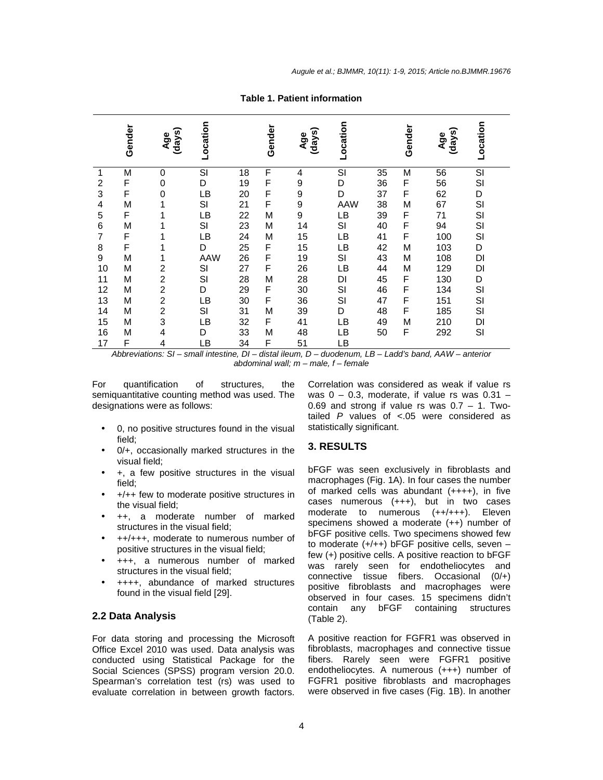| <b>Table 1. Patient information</b> |  |
|-------------------------------------|--|
|-------------------------------------|--|

|    | Gender | ∽<br>(days)<br>Age      | Location |    | Gender | (days)<br>Age | Location   |    | Gender | (days)<br>Age | Location |
|----|--------|-------------------------|----------|----|--------|---------------|------------|----|--------|---------------|----------|
| 1  | M      | 0                       | SI       | 18 | F      | 4             | SI         | 35 | M      | 56            | SI       |
| 2  | F      | 0                       | D        | 19 | F      | 9             | D          | 36 | F      | 56            | SI       |
| 3  | F      | $\mathbf 0$             | LВ       | 20 | F      | 9             | D          | 37 | F      | 62            | D        |
| 4  | M      | 1                       | SI       | 21 | F      | 9             | <b>AAW</b> | 38 | M      | 67            | SI       |
| 5  | F      | 1                       | LB       | 22 | M      | 9             | LВ         | 39 | F      | 71            | SI       |
| 6  | M      | 1                       | SI       | 23 | М      | 14            | SI         | 40 | F      | 94            | SI       |
| 7  | F      | 1                       | LB       | 24 | М      | 15            | LВ         | 41 | F      | 100           | SI       |
| 8  | F      | 1                       | D        | 25 | F      | 15            | LВ         | 42 | M      | 103           | D        |
| 9  | M      | 1                       | AAW      | 26 | F      | 19            | SI         | 43 | M      | 108           | DI       |
| 10 | M      | $\overline{\mathbf{c}}$ | SI       | 27 | F      | 26            | LВ         | 44 | M      | 129           | DI       |
| 11 | M      | $\overline{\mathbf{c}}$ | SI       | 28 | M      | 28            | DI         | 45 | F      | 130           | D        |
| 12 | M      | $\overline{c}$          | D        | 29 | F      | 30            | SI         | 46 | F      | 134           | SI       |
| 13 | M      | $\mathbf 2$             | LB       | 30 | F      | 36            | SI         | 47 | F      | 151           | SI       |
| 14 | M      | $\overline{\mathbf{c}}$ | SI       | 31 | M      | 39            | D          | 48 | F      | 185           | SI       |
| 15 | М      | 3                       | LB       | 32 | F      | 41            | LВ         | 49 | М      | 210           | DI       |
| 16 | M      | $\overline{4}$          | D        | 33 | M      | 48            | LВ         | 50 | F      | 292           | SI       |
| 17 | F      | 4                       | LB       | 34 | F      | 51            | LВ         |    |        |               |          |

Abbreviations: SI – small intestine, DI – distal ileum, D – duodenum, LB – Ladd's band, AAW – anterior abdominal wall;  $m$  – male,  $f$  – female

For quantification of structures, the semiquantitative counting method was used. The designations were as follows:

- 0, no positive structures found in the visual field;
- $0/+$ , occasionally marked structures in the visual field;
- +, a few positive structures in the visual field;
- +/++ few to moderate positive structures in the visual field;
- ++, a moderate number of marked structures in the visual field;
- ++/+++, moderate to numerous number of positive structures in the visual field;
- +++, a numerous number of marked structures in the visual field;
- ++++, abundance of marked structures found in the visual field [29].

## **2.2 Data Analysis**

For data storing and processing the Microsoft Office Excel 2010 was used. Data analysis was conducted using Statistical Package for the Social Sciences (SPSS) program version 20.0. Spearman's correlation test (rs) was used to evaluate correlation in between growth factors.

Correlation was considered as weak if value rs was  $0 - 0.3$ , moderate, if value rs was  $0.31 -$ 0.69 and strong if value rs was  $0.7 - 1$ . Twotailed  $P$  values of <.05 were considered as statistically significant.

#### **3. RESULTS**

bFGF was seen exclusively in fibroblasts and macrophages (Fig. 1A). In four cases the number of marked cells was abundant  $(++++)$ , in five cases numerous (+++), but in two cases moderate to numerous (++/+++). Eleven specimens showed a moderate (++) number of bFGF positive cells. Two specimens showed few to moderate (+/++) bFGF positive cells, seven – few (+) positive cells. A positive reaction to bFGF was rarely seen for endotheliocytes and connective tissue fibers. Occasional  $(0/+)$ positive fibroblasts and macrophages were observed in four cases. 15 specimens didn't contain any bFGF containing structures (Table 2).

A positive reaction for FGFR1 was observed in fibroblasts, macrophages and connective tissue fibers. Rarely seen were FGFR1 positive endotheliocytes. A numerous (+++) number of FGFR1 positive fibroblasts and macrophages were observed in five cases (Fig. 1B). In another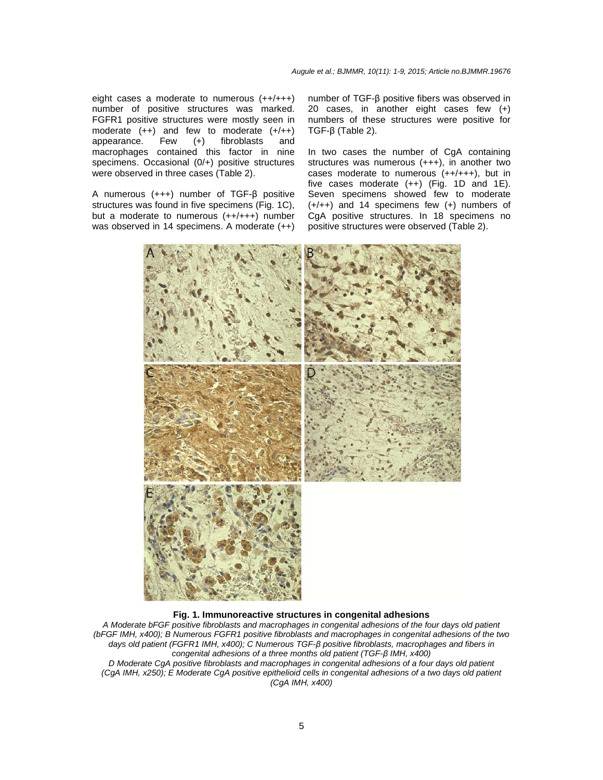eight cases a moderate to numerous  $(++/+++)$ number of positive structures was marked. FGFR1 positive structures were mostly seen in moderate (++) and few to moderate (+/++)<br>appearance. Few (+) fibroblasts and appearance. Few (+) fibroblasts and macrophages contained this factor in nine specimens. Occasional (0/+) positive structures were observed in three cases (Table 2).

A numerous (+++) number of TGF-β positive structures was found in five specimens (Fig. 1C), but a moderate to numerous (++/+++) number was observed in 14 specimens. A moderate (++)

number of TGF-β positive fibers was observed in 20 cases, in another eight cases few (+) numbers of these structures were positive for TGF-β (Table 2).

In two cases the number of CgA containing structures was numerous (+++), in another two cases moderate to numerous  $(++/+++)$ , but in five cases moderate  $(++)$  (Fig. 1D and 1E). Seven specimens showed few to moderate (+/++) and 14 specimens few (+) numbers of CgA positive structures. In 18 specimens no positive structures were observed (Table 2).



#### **Fig. 1. Immunoreactive structures in congenital adhesions**

A Moderate bFGF positive fibroblasts and macrophages in congenital adhesions of the four days old patient (bFGF IMH, x400); B Numerous FGFR1 positive fibroblasts and macrophages in congenital adhesions of the two days old patient (FGFR1 IMH, x400); C Numerous TGF-*β* positive fibroblasts, macrophages and fibers in congenital adhesions of a three months old patient (TGF-*β* IMH, x400) D Moderate CgA positive fibroblasts and macrophages in congenital adhesions of a four days old patient (CgA IMH, x250); E Moderate CgA positive epithelioid cells in congenital adhesions of a two days old patient (CgA IMH, x400)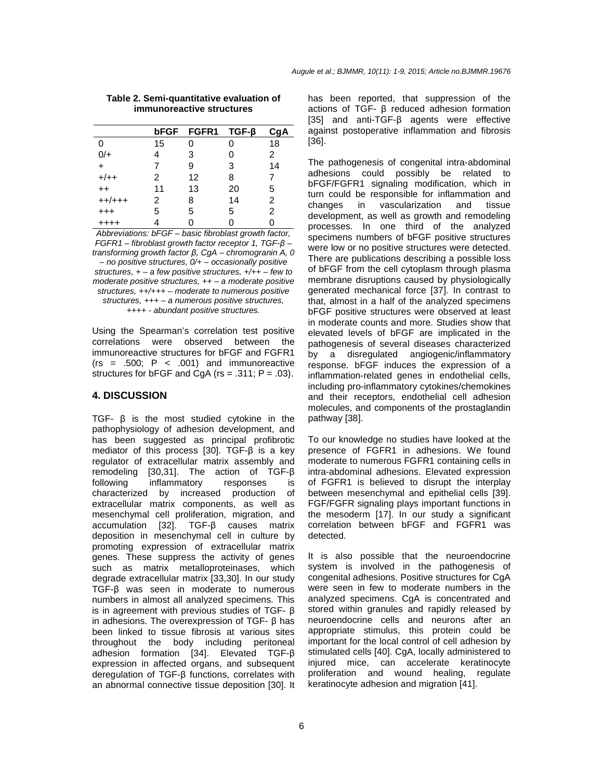|           | bFGF | $FGFR1$ TGF- $\beta$ |    | CqA |
|-----------|------|----------------------|----|-----|
| 0         | 15   |                      |    | 18  |
| $0/+$     |      | 3                    | O  | 2   |
| $\ddot{}$ |      | 9                    | 3  | 14  |
| $+/++$    | 2    | 12                   | 8  | 7   |
| $++$      | 11   | 13                   | 20 | 5   |
| $++/+++$  | 2    | 8                    | 14 | 2   |
| $^{+++}$  | 5    | 5                    | 5  | 2   |
| $^{+++}$  |      |                      |    |     |

#### **Table 2. Semi-quantitative evaluation of immunoreactive structures**

Abbreviations: bFGF – basic fibroblast growth factor, FGFR1 – fibroblast growth factor receptor 1, TGF-*β* – transforming growth factor *β*, CgA – chromogranin A, 0  $-$  no positive structures,  $0/4$  – occasionally positive structures,  $+ - a$  few positive structures,  $+/++ -$  few to moderate positive structures,  $++ - a$  moderate positive structures,  $++/+++$  – moderate to numerous positive structures, +++ – a numerous positive structures, ++++ - abundant positive structures.

Using the Spearman's correlation test positive correlations were observed between the immunoreactive structures for bFGF and FGFR1  $(rs = .500; P < .001)$  and immunoreactive structures for bFGF and  $CgA$  (rs = .311; P = .03).

## **4. DISCUSSION**

TGF- β is the most studied cytokine in the pathophysiology of adhesion development, and has been suggested as principal profibrotic mediator of this process [30]. TGF-β is a key regulator of extracellular matrix assembly and remodeling [30,31]. The action of TGF-β following inflammatory responses is characterized by increased production of extracellular matrix components, as well as mesenchymal cell proliferation, migration, and accumulation [32]. TGF-β causes matrix deposition in mesenchymal cell in culture by promoting expression of extracellular matrix genes. These suppress the activity of genes such as matrix metalloproteinases, which degrade extracellular matrix [33,30]. In our study TGF-β was seen in moderate to numerous numbers in almost all analyzed specimens. This is in agreement with previous studies of TGF- β in adhesions. The overexpression of TGF- β has been linked to tissue fibrosis at various sites throughout the body including peritoneal adhesion formation [34]. Elevated TGF-β expression in affected organs, and subsequent deregulation of TGF-β functions, correlates with an abnormal connective tissue deposition [30]. It

has been reported, that suppression of the actions of TGF- β reduced adhesion formation [35] and anti-TGF-β agents were effective against postoperative inflammation and fibrosis [36].

The pathogenesis of congenital intra-abdominal adhesions could possibly be related to bFGF/FGFR1 signaling modification, which in turn could be responsible for inflammation and changes in vascularization and tissue development, as well as growth and remodeling processes. In one third of the analyzed specimens numbers of bFGF positive structures were low or no positive structures were detected. There are publications describing a possible loss of bFGF from the cell cytoplasm through plasma membrane disruptions caused by physiologically generated mechanical force [37]. In contrast to that, almost in a half of the analyzed specimens bFGF positive structures were observed at least in moderate counts and more. Studies show that elevated levels of bFGF are implicated in the pathogenesis of several diseases characterized by a disregulated angiogenic/inflammatory response. bFGF induces the expression of a inflammation-related genes in endothelial cells, including pro-inflammatory cytokines/chemokines and their receptors, endothelial cell adhesion molecules, and components of the prostaglandin pathway [38].

To our knowledge no studies have looked at the presence of FGFR1 in adhesions. We found moderate to numerous FGFR1 containing cells in intra-abdominal adhesions. Elevated expression of FGFR1 is believed to disrupt the interplay between mesenchymal and epithelial cells [39]. FGF/FGFR signaling plays important functions in the mesoderm [17]. In our study a significant correlation between bFGF and FGFR1 was detected.

It is also possible that the neuroendocrine system is involved in the pathogenesis of congenital adhesions. Positive structures for CgA were seen in few to moderate numbers in the analyzed specimens. CgA is concentrated and stored within granules and rapidly released by neuroendocrine cells and neurons after an appropriate stimulus, this protein could be important for the local control of cell adhesion by stimulated cells [40]. CgA, locally administered to injured mice, can accelerate keratinocyte proliferation and wound healing, regulate keratinocyte adhesion and migration [41].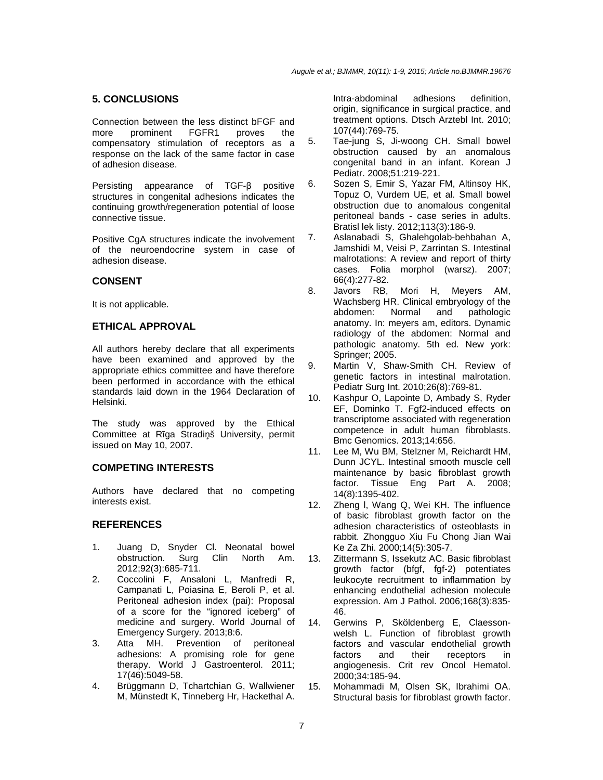## **5. CONCLUSIONS**

Connection between the less distinct bFGF and more prominent FGFR1 proves the compensatory stimulation of receptors as a response on the lack of the same factor in case of adhesion disease.

Persisting appearance of TGF-β positive structures in congenital adhesions indicates the continuing growth/regeneration potential of loose connective tissue.

Positive CgA structures indicate the involvement of the neuroendocrine system in case of adhesion disease.

## **CONSENT**

It is not applicable.

## **ETHICAL APPROVAL**

All authors hereby declare that all experiments have been examined and approved by the appropriate ethics committee and have therefore been performed in accordance with the ethical standards laid down in the 1964 Declaration of Helsinki.

The study was approved by the Ethical Committee at Rīga Stradiņš University, permit issued on May 10, 2007.

## **COMPETING INTERESTS**

Authors have declared that no competing interests exist.

## **REFERENCES**

- 1. Juang D, Snyder Cl. Neonatal bowel obstruction. Surg Clin North Am. 2012;92(3):685-711.
- 2. Coccolini F, Ansaloni L, Manfredi R, Campanati L, Poiasina E, Beroli P, et al. Peritoneal adhesion index (pai): Proposal of a score for the "ignored iceberg" of medicine and surgery. World Journal of Emergency Surgery. 2013;8:6.
- 3. Atta MH. Prevention of peritoneal adhesions: A promising role for gene therapy. World J Gastroenterol. 2011; 17(46):5049-58.
- 4. Brüggmann D, Tchartchian G, Wallwiener M, Münstedt K, Tinneberg Hr, Hackethal A.

Intra-abdominal adhesions definition, origin, significance in surgical practice, and treatment options. Dtsch Arztebl Int. 2010; 107(44):769-75.

- 5. Tae-jung S, Ji-woong CH. Small bowel obstruction caused by an anomalous congenital band in an infant. Korean J Pediatr. 2008;51:219-221.
- 6. Sozen S, Emir S, Yazar FM, Altinsoy HK, Topuz O, Vurdem UE, et al. Small bowel obstruction due to anomalous congenital peritoneal bands - case series in adults. Bratisl lek listy. 2012;113(3):186-9.
- 7. Aslanabadi S, Ghalehgolab-behbahan A, Jamshidi M, Veisi P, Zarrintan S. Intestinal malrotations: A review and report of thirty cases. Folia morphol (warsz). 2007; 66(4):277-82.
- 8. Javors RB, Mori H, Meyers AM, Wachsberg HR. Clinical embryology of the abdomen: Normal and pathologic anatomy. In: meyers am, editors. Dynamic radiology of the abdomen: Normal and pathologic anatomy. 5th ed. New york: Springer; 2005.
- 9. Martin V, Shaw-Smith CH. Review of genetic factors in intestinal malrotation. Pediatr Surg Int. 2010;26(8):769-81.
- 10. Kashpur O, Lapointe D, Ambady S, Ryder EF, Dominko T. Fgf2-induced effects on transcriptome associated with regeneration competence in adult human fibroblasts. Bmc Genomics. 2013;14:656.
- 11. Lee M, Wu BM, Stelzner M, Reichardt HM, Dunn JCYL. Intestinal smooth muscle cell maintenance by basic fibroblast growth factor. Tissue Eng Part A. 2008; 14(8):1395-402.
- 12. Zheng l, Wang Q, Wei KH. The influence of basic fibroblast growth factor on the adhesion characteristics of osteoblasts in rabbit. Zhongguo Xiu Fu Chong Jian Wai Ke Za Zhi. 2000;14(5):305-7.
- 13. Zittermann S, Issekutz AC. Basic fibroblast growth factor (bfgf, fgf-2) potentiates leukocyte recruitment to inflammation by enhancing endothelial adhesion molecule expression. Am J Pathol. 2006;168(3):835- 46.
- 14. Gerwins P, Sköldenberg E, Claessonwelsh L. Function of fibroblast growth factors and vascular endothelial growth factors and their receptors in angiogenesis. Crit rev Oncol Hematol. 2000;34:185-94.
- 15. Mohammadi M, Olsen SK, Ibrahimi OA. Structural basis for fibroblast growth factor.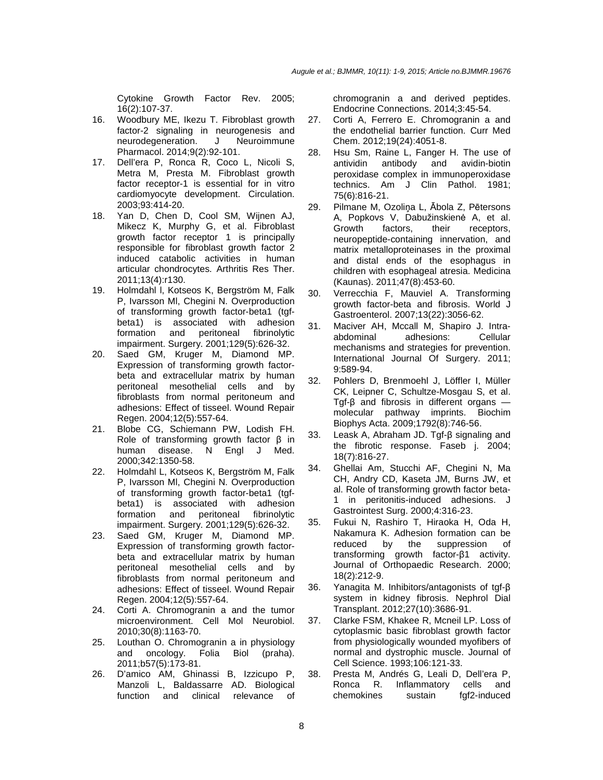Cytokine Growth Factor Rev. 2005; 16(2):107-37.

- 16. Woodbury ME, Ikezu T. Fibroblast growth factor-2 signaling in neurogenesis and neurodegeneration. J Neuroimmune Pharmacol. 2014;9(2):92-101.
- 17. Dell'era P, Ronca R, Coco L, Nicoli S, Metra M, Presta M. Fibroblast growth factor receptor-1 is essential for in vitro cardiomyocyte development. Circulation. 2003;93:414-20.
- 18. Yan D, Chen D, Cool SM, Wijnen AJ, Mikecz K, Murphy G, et al. Fibroblast growth factor receptor 1 is principally responsible for fibroblast growth factor 2 induced catabolic activities in human articular chondrocytes. Arthritis Res Ther. 2011;13(4):r130.
- 19. Holmdahl l, Kotseos K, Bergström M, Falk P, Ivarsson Ml, Chegini N. Overproduction of transforming growth factor-beta1 (tgfbeta1) is associated with adhesion formation and peritoneal fibrinolytic impairment. Surgery. 2001;129(5):626-32.
- 20. Saed GM, Kruger M, Diamond MP. Expression of transforming growth factorbeta and extracellular matrix by human peritoneal mesothelial cells and by fibroblasts from normal peritoneum and adhesions: Effect of tisseel. Wound Repair Regen. 2004;12(5):557-64.
- 21. Blobe CG, Schiemann PW, Lodish FH. Role of transforming growth factor β in human disease. N Engl J Med. 2000;342:1350-58.
- 22. Holmdahl L, Kotseos K, Bergström M, Falk P, Ivarsson Ml, Chegini N. Overproduction of transforming growth factor-beta1 (tgfbeta1) is associated with adhesion formation and peritoneal fibrinolytic impairment. Surgery. 2001;129(5):626-32.
- 23. Saed GM, Kruger M, Diamond MP. Expression of transforming growth factorbeta and extracellular matrix by human peritoneal mesothelial cells and by fibroblasts from normal peritoneum and adhesions: Effect of tisseel. Wound Repair Regen. 2004;12(5):557-64.
- 24. Corti A. Chromogranin a and the tumor microenvironment. Cell Mol Neurobiol. 2010;30(8):1163-70.
- 25. Louthan O. Chromogranin a in physiology and oncology. Folia Biol (praha). 2011;b57(5):173-81.
- 26. D'amico AM, Ghinassi B, Izzicupo P, Manzoli L, Baldassarre AD. Biological function and clinical relevance of

chromogranin a and derived peptides. Endocrine Connections. 2014;3:45-54.

- 27. Corti A, Ferrero E. Chromogranin a and the endothelial barrier function. Curr Med Chem. 2012;19(24):4051-8.
- 28. Hsu Sm, Raine L, Fanger H. The use of antividin antibody and avidin-biotin peroxidase complex in immunoperoxidase technics. Am J Clin Pathol. 1981; 75(6):816-21.
- 29. Pilmane M, Ozoliņa L, Ābola Z, Pētersons A, Popkovs V, Dabužinskienė A, et al. Growth factors, their receptors, neuropeptide-containing innervation, and matrix metalloproteinases in the proximal and distal ends of the esophagus in children with esophageal atresia. Medicina (Kaunas). 2011;47(8):453-60.
- 30. Verrecchia F, Mauviel A. Transforming growth factor-beta and fibrosis. World J Gastroenterol. 2007;13(22):3056-62.
- 31. Maciver AH, Mccall M, Shapiro J. Intraabdominal adhesions: Cellular mechanisms and strategies for prevention. International Journal Of Surgery. 2011; 9:589-94.
- 32. Pohlers D, Brenmoehl J, Löffler I, Müller CK, Leipner C, Schultze-Mosgau S, et al. Tgf-β and fibrosis in different organs molecular pathway imprints. Biochim Biophys Acta. 2009;1792(8):746-56.
- 33. Leask A, Abraham JD. Tgf-β signaling and the fibrotic response. Faseb j. 2004; 18(7):816-27.
- 34. Ghellai Am, Stucchi AF, Chegini N, Ma CH, Andry CD, Kaseta JM, Burns JW, et al. Role of transforming growth factor beta-1 in peritonitis-induced adhesions. J Gastrointest Surg. 2000;4:316-23.
- 35. Fukui N, Rashiro T, Hiraoka H, Oda H, Nakamura K. Adhesion formation can be reduced by the suppression of transforming growth factor-β1 activity. Journal of Orthopaedic Research. 2000; 18(2):212-9.
- 36. Yanagita M. Inhibitors/antagonists of tgf-β system in kidney fibrosis. Nephrol Dial Transplant. 2012;27(10):3686-91.
- 37. Clarke FSM, Khakee R, Mcneil LP. Loss of cytoplasmic basic fibroblast growth factor from physiologically wounded myofibers of normal and dystrophic muscle. Journal of Cell Science. 1993;106:121-33.
- 38. Presta M, Andrés G, Leali D, Dell'era P, Ronca R. Inflammatory cells and chemokines sustain fgf2-induced